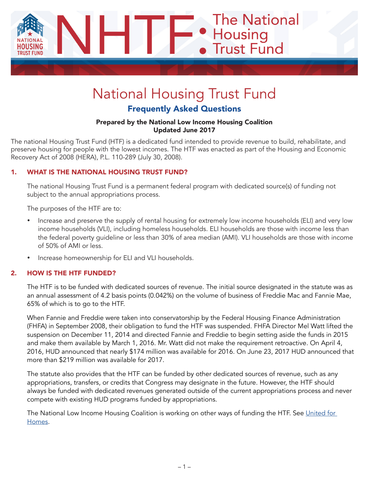

# National Housing Trust Fund

# Frequently Asked Questions

#### Prepared by the National Low Income Housing Coalition Updated June 2017

The national Housing Trust Fund (HTF) is a dedicated fund intended to provide revenue to build, rehabilitate, and preserve housing for people with the lowest incomes. The HTF was enacted as part of the Housing and Economic Recovery Act of 2008 (HERA), P.L. 110-289 (July 30, 2008).

## 1. WHAT IS THE NATIONAL HOUSING TRUST FUND?

The national Housing Trust Fund is a permanent federal program with dedicated source(s) of funding not subject to the annual appropriations process.

The purposes of the HTF are to:

- Increase and preserve the supply of rental housing for extremely low income households (ELI) and very low income households (VLI), including homeless households. ELI households are those with income less than the federal poverty guideline or less than 30% of area median (AMI). VLI households are those with income of 50% of AMI or less.
- Increase homeownership for ELI and VLI households.

## 2. HOW IS THE HTF FUNDED?

The HTF is to be funded with dedicated sources of revenue. The initial source designated in the statute was as an annual assessment of 4.2 basis points (0.042%) on the volume of business of Freddie Mac and Fannie Mae, 65% of which is to go to the HTF.

When Fannie and Freddie were taken into conservatorship by the Federal Housing Finance Administration (FHFA) in September 2008, their obligation to fund the HTF was suspended. FHFA Director Mel Watt lifted the suspension on December 11, 2014 and directed Fannie and Freddie to begin setting aside the funds in 2015 and make them available by March 1, 2016. Mr. Watt did not make the requirement retroactive. On April 4, 2016, HUD announced that nearly \$174 million was available for 2016. On June 23, 2017 HUD announced that more than \$219 million was available for 2017.

The statute also provides that the HTF can be funded by other dedicated sources of revenue, such as any appropriations, transfers, or credits that Congress may designate in the future. However, the HTF should always be funded with dedicated revenues generated outside of the current appropriations process and never compete with existing HUD programs funded by appropriations.

The National Low Income Housing Coalition is working on other ways of funding the HTF. See United for [Homes.](http://www.unitedforhomes.org/)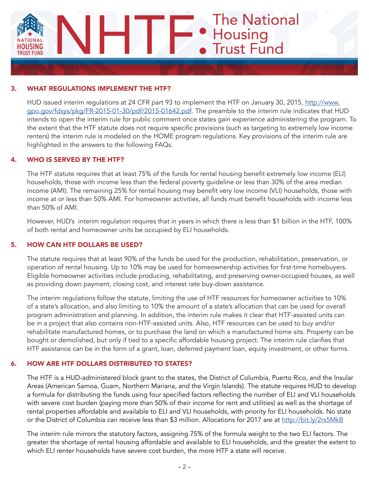

#### 3. WHAT REGULATIONS IMPLEMENT THE HTF?

HUD issued interim regulations at 24 CFR part 93 to implement the HTF on January 30, 2015, [http://www.](http://www.gpo.gov/fdsys/pkg/FR-2015-01-30/pdf/2015-01642.pdf) [gpo.gov/fdsys/pkg/FR-2015-01-30/pdf/2015-01642.pdf](http://www.gpo.gov/fdsys/pkg/FR-2015-01-30/pdf/2015-01642.pdf). The preamble to the interim rule indicates that HUD intends to open the interim rule for public comment once states gain experience administering the program. To the extent that the HTF statute does not require specific provisions (such as targeting to extremely low income renters) the interim rule is modeled on the HOME program regulations. Key provisions of the interim rule are highlighted in the answers to the following FAQs.

## 4. WHO IS SERVED BY THE HTF?

The HTF statute requires that at least 75% of the funds for rental housing benefit extremely low income (ELI) households, those with income less than the federal poverty guideline or less than 30% of the area median income (AMI). The remaining 25% for rental housing may benefit very low income (VLI) households, those with income at or less than 50% AMI. For homeowner activities, all funds must benefit households with income less than 50% of AMI.

However, HUD's interim regulation requires that in years in which there is less than \$1 billion in the HTF, 100% of both rental and homeowner units be occupied by ELI households.

#### 5. HOW CAN HTF DOLLARS BE USED?

The statute requires that at least 90% of the funds be used for the production, rehabilitation, preservation, or operation of rental housing. Up to 10% may be used for homeownership activities for first-time homebuyers. Eligible homeowner activities include producing, rehabilitating, and preserving owner-occupied houses, as well as providing down payment, closing cost, and interest rate buy-down assistance.

The interim regulations follow the statute, limiting the use of HTF resources for homeowner activities to 10% of a state's allocation, and also limiting to 10% the amount of a state's allocation that can be used for overall program administration and planning. In addition, the interim rule makes it clear that HTF-assisted units can be in a project that also contains non-HTF-assisted units. Also, HTF resources can be used to buy and/or rehabilitate manufactured homes, or to purchase the land on which a manufactured home sits. Property can be bought or demolished, but only if tied to a specific affordable housing project. The interim rule clarifies that HTF assistance can be in the form of a grant, loan, deferred payment loan, equity investment, or other forms.

#### 6. HOW ARE HTF DOLLARS DISTRIBUTED TO STATES?

The HTF is a HUD-administered block grant to the states, the District of Columbia, Puerto Rico, and the Insular Areas (American Samoa, Guam, Northern Mariana, and the Virgin Islands). The statute requires HUD to develop a formula for distributing the funds using four specified factors reflecting the number of ELI and VLI households with severe cost burden (paying more than 50% of their income for rent and utilities) as well as the shortage of rental properties affordable and available to ELI and VLI households, with priority for ELI households. No state or the District of Columbia can receive less than \$3 million. Allocations for 2017 are at <http://bit.ly/2rs5MkB>

The interim rule mirrors the statutory factors, assigning 75% of the formula weight to the two ELI factors. The greater the shortage of rental housing affordable and available to ELI households, and the greater the extent to which ELI renter households have severe cost burden, the more HTF a state will receive.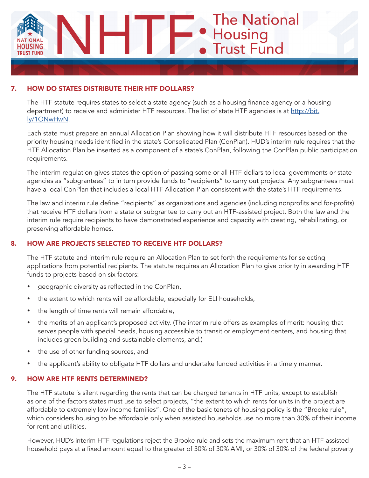

## 7. HOW DO STATES DISTRIBUTE THEIR HTF DOLLARS?

The HTF statute requires states to select a state agency (such as a housing finance agency or a housing department) to receive and administer HTF resources. The list of state HTF agencies is at [http://bit.](http://bit.ly/1ONwHwN) [ly/1ONwHwN](http://bit.ly/1ONwHwN).

Each state must prepare an annual Allocation Plan showing how it will distribute HTF resources based on the priority housing needs identified in the state's Consolidated Plan (ConPlan). HUD's interim rule requires that the HTF Allocation Plan be inserted as a component of a state's ConPlan, following the ConPlan public participation requirements.

The interim regulation gives states the option of passing some or all HTF dollars to local governments or state agencies as "subgrantees" to in turn provide funds to "recipients" to carry out projects. Any subgrantees must have a local ConPlan that includes a local HTF Allocation Plan consistent with the state's HTF requirements.

The law and interim rule define "recipients" as organizations and agencies (including nonprofits and for-profits) that receive HTF dollars from a state or subgrantee to carry out an HTF-assisted project. Both the law and the interim rule require recipients to have demonstrated experience and capacity with creating, rehabilitating, or preserving affordable homes.

## 8. HOW ARE PROJECTS SELECTED TO RECEIVE HTF DOLLARS?

The HTF statute and interim rule require an Allocation Plan to set forth the requirements for selecting applications from potential recipients. The statute requires an Allocation Plan to give priority in awarding HTF funds to projects based on six factors:

- geographic diversity as reflected in the ConPlan,
- the extent to which rents will be affordable, especially for ELI households,
- the length of time rents will remain affordable,
- the merits of an applicant's proposed activity. (The interim rule offers as examples of merit: housing that serves people with special needs, housing accessible to transit or employment centers, and housing that includes green building and sustainable elements, and.)
- the use of other funding sources, and
- the applicant's ability to obligate HTF dollars and undertake funded activities in a timely manner.

## 9. HOW ARE HTF RENTS DETERMINED?

The HTF statute is silent regarding the rents that can be charged tenants in HTF units, except to establish as one of the factors states must use to select projects, "the extent to which rents for units in the project are affordable to extremely low income families". One of the basic tenets of housing policy is the "Brooke rule", which considers housing to be affordable only when assisted households use no more than 30% of their income for rent and utilities.

However, HUD's interim HTF regulations reject the Brooke rule and sets the maximum rent that an HTF-assisted household pays at a fixed amount equal to the greater of 30% of 30% AMI, or 30% of 30% of the federal poverty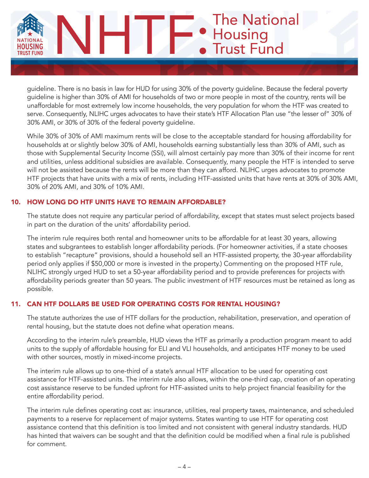

guideline. There is no basis in law for HUD for using 30% of the poverty guideline. Because the federal poverty guideline is higher than 30% of AMI for households of two or more people in most of the country, rents will be unaffordable for most extremely low income households, the very population for whom the HTF was created to serve. Consequently, NLIHC urges advocates to have their state's HTF Allocation Plan use "the lesser of" 30% of 30% AMI, or 30% of 30% of the federal poverty guideline.

While 30% of 30% of AMI maximum rents will be close to the acceptable standard for housing affordability for households at or slightly below 30% of AMI, households earning substantially less than 30% of AMI, such as those with Supplemental Security Income (SSI), will almost certainly pay more than 30% of their income for rent and utilities, unless additional subsidies are available. Consequently, many people the HTF is intended to serve will not be assisted because the rents will be more than they can afford. NLIHC urges advocates to promote HTF projects that have units with a mix of rents, including HTF-assisted units that have rents at 30% of 30% AMI, 30% of 20% AMI, and 30% of 10% AMI.

## 10. HOW LONG DO HTF UNITS HAVE TO REMAIN AFFORDABLE?

The statute does not require any particular period of affordability, except that states must select projects based in part on the duration of the units' affordability period.

The interim rule requires both rental and homeowner units to be affordable for at least 30 years, allowing states and subgrantees to establish longer affordability periods. (For homeowner activities, if a state chooses to establish "recapture" provisions, should a household sell an HTF-assisted property, the 30-year affordability period only applies if \$50,000 or more is invested in the property.) Commenting on the proposed HTF rule, NLIHC strongly urged HUD to set a 50-year affordability period and to provide preferences for projects with affordability periods greater than 50 years. The public investment of HTF resources must be retained as long as possible.

## 11. CAN HTF DOLLARS BE USED FOR OPERATING COSTS FOR RENTAL HOUSING?

The statute authorizes the use of HTF dollars for the production, rehabilitation, preservation, and operation of rental housing, but the statute does not define what operation means.

According to the interim rule's preamble, HUD views the HTF as primarily a production program meant to add units to the supply of affordable housing for ELI and VLI households, and anticipates HTF money to be used with other sources, mostly in mixed-income projects.

The interim rule allows up to one-third of a state's annual HTF allocation to be used for operating cost assistance for HTF-assisted units. The interim rule also allows, within the one-third cap, creation of an operating cost assistance reserve to be funded upfront for HTF-assisted units to help project financial feasibility for the entire affordability period.

The interim rule defines operating cost as: insurance, utilities, real property taxes, maintenance, and scheduled payments to a reserve for replacement of major systems. States wanting to use HTF for operating cost assistance contend that this definition is too limited and not consistent with general industry standards. HUD has hinted that waivers can be sought and that the definition could be modified when a final rule is published for comment.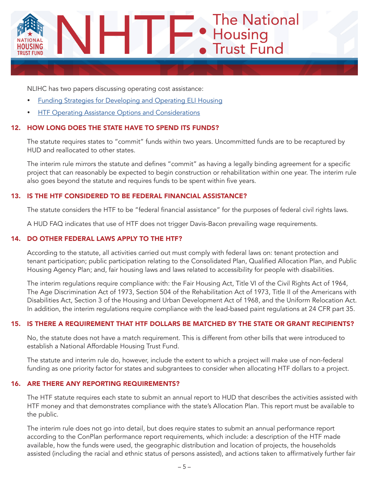

NLIHC has two papers discussing operating cost assistance:

- **[Funding Strategies for Developing and Operating ELI Housing](http://nlihc.org/sites/default/files/HTF-Funding-Strategies-for-Developing-and-Operating-ELI-Housing_051716.pdf)**
- **[HTF Operating Assistance Options and Considerations](http://nlihc.org/sites/default/files/HTF-Operating-Assistance-Options-and-Considerations_051716.pdf)**

## 12. HOW LONG DOES THE STATE HAVE TO SPEND ITS FUNDS?

The statute requires states to "commit" funds within two years. Uncommitted funds are to be recaptured by HUD and reallocated to other states.

The interim rule mirrors the statute and defines "commit" as having a legally binding agreement for a specific project that can reasonably be expected to begin construction or rehabilitation within one year. The interim rule also goes beyond the statute and requires funds to be spent within five years.

#### 13. IS THE HTF CONSIDERED TO BE FEDERAL FINANCIAL ASSISTANCE?

The statute considers the HTF to be "federal financial assistance" for the purposes of federal civil rights laws.

A HUD FAQ indicates that use of HTF does not trigger Davis-Bacon prevailing wage requirements.

## 14. DO OTHER FEDERAL LAWS APPLY TO THE HTF?

According to the statute, all activities carried out must comply with federal laws on: tenant protection and tenant participation; public participation relating to the Consolidated Plan, Qualified Allocation Plan, and Public Housing Agency Plan; and, fair housing laws and laws related to accessibility for people with disabilities.

The interim regulations require compliance with: the Fair Housing Act, Title VI of the Civil Rights Act of 1964, The Age Discrimination Act of 1973, Section 504 of the Rehabilitation Act of 1973, Title II of the Americans with Disabilities Act, Section 3 of the Housing and Urban Development Act of 1968, and the Uniform Relocation Act. In addition, the interim regulations require compliance with the lead-based paint regulations at 24 CFR part 35.

#### 15. IS THERE A REQUIREMENT THAT HTF DOLLARS BE MATCHED BY THE STATE OR GRANT RECIPIENTS?

No, the statute does not have a match requirement. This is different from other bills that were introduced to establish a National Affordable Housing Trust Fund.

The statute and interim rule do, however, include the extent to which a project will make use of non-federal funding as one priority factor for states and subgrantees to consider when allocating HTF dollars to a project.

#### 16. ARE THERE ANY REPORTING REQUIREMENTS?

The HTF statute requires each state to submit an annual report to HUD that describes the activities assisted with HTF money and that demonstrates compliance with the state's Allocation Plan. This report must be available to the public.

The interim rule does not go into detail, but does require states to submit an annual performance report according to the ConPlan performance report requirements, which include: a description of the HTF made available, how the funds were used, the geographic distribution and location of projects, the households assisted (including the racial and ethnic status of persons assisted), and actions taken to affirmatively further fair